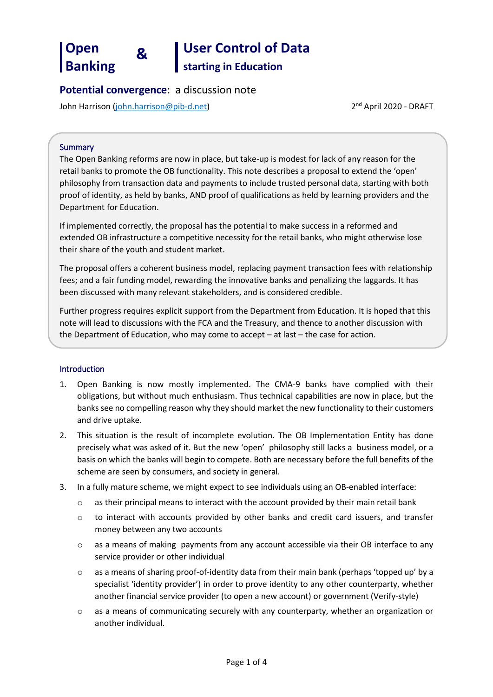# **Open Banking**

 **& User Control of Data** 

**starting in Education**

## **Potential convergence**: a discussion note

John Harrison [\(john.harrison@pib-d.net\)](mailto:john.harrison@pib-d.net)

2<sup>nd</sup> April 2020 - DRAFT

#### **Summary**

The Open Banking reforms are now in place, but take-up is modest for lack of any reason for the retail banks to promote the OB functionality. This note describes a proposal to extend the 'open' philosophy from transaction data and payments to include trusted personal data, starting with both proof of identity, as held by banks, AND proof of qualifications as held by learning providers and the Department for Education.

If implemented correctly, the proposal has the potential to make success in a reformed and extended OB infrastructure a competitive necessity for the retail banks, who might otherwise lose their share of the youth and student market.

The proposal offers a coherent business model, replacing payment transaction fees with relationship fees; and a fair funding model, rewarding the innovative banks and penalizing the laggards. It has been discussed with many relevant stakeholders, and is considered credible.

Further progress requires explicit support from the Department from Education. It is hoped that this note will lead to discussions with the FCA and the Treasury, and thence to another discussion with the Department of Education, who may come to accept – at last – the case for action.

### Introduction

- 1. Open Banking is now mostly implemented. The CMA-9 banks have complied with their obligations, but without much enthusiasm. Thus technical capabilities are now in place, but the banks see no compelling reason why they should market the new functionality to their customers and drive uptake.
- 2. This situation is the result of incomplete evolution. The OB Implementation Entity has done precisely what was asked of it. But the new 'open' philosophy still lacks a business model, or a basis on which the banks will begin to compete. Both are necessary before the full benefits of the scheme are seen by consumers, and society in general.
- 3. In a fully mature scheme, we might expect to see individuals using an OB-enabled interface:
	- o as their principal means to interact with the account provided by their main retail bank
	- $\circ$  to interact with accounts provided by other banks and credit card issuers, and transfer money between any two accounts
	- o as a means of making payments from any account accessible via their OB interface to any service provider or other individual
	- $\circ$  as a means of sharing proof-of-identity data from their main bank (perhaps 'topped up' by a specialist 'identity provider') in order to prove identity to any other counterparty, whether another financial service provider (to open a new account) or government (Verify-style)
	- o as a means of communicating securely with any counterparty, whether an organization or another individual.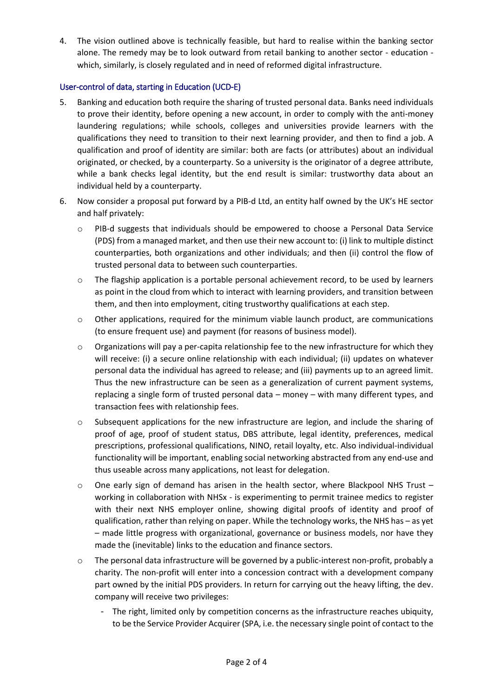4. The vision outlined above is technically feasible, but hard to realise within the banking sector alone. The remedy may be to look outward from retail banking to another sector - education which, similarly, is closely regulated and in need of reformed digital infrastructure.

### User-control of data, starting in Education (UCD-E)

- 5. Banking and education both require the sharing of trusted personal data. Banks need individuals to prove their identity, before opening a new account, in order to comply with the anti-money laundering regulations; while schools, colleges and universities provide learners with the qualifications they need to transition to their next learning provider, and then to find a job. A qualification and proof of identity are similar: both are facts (or attributes) about an individual originated, or checked, by a counterparty. So a university is the originator of a degree attribute, while a bank checks legal identity, but the end result is similar: trustworthy data about an individual held by a counterparty.
- 6. Now consider a proposal put forward by a PIB-d Ltd, an entity half owned by the UK's HE sector and half privately:
	- o PIB-d suggests that individuals should be empowered to choose a Personal Data Service (PDS) from a managed market, and then use their new account to: (i) link to multiple distinct counterparties, both organizations and other individuals; and then (ii) control the flow of trusted personal data to between such counterparties.
	- $\circ$  The flagship application is a portable personal achievement record, to be used by learners as point in the cloud from which to interact with learning providers, and transition between them, and then into employment, citing trustworthy qualifications at each step.
	- $\circ$  Other applications, required for the minimum viable launch product, are communications (to ensure frequent use) and payment (for reasons of business model).
	- $\circ$  Organizations will pay a per-capita relationship fee to the new infrastructure for which they will receive: (i) a secure online relationship with each individual; (ii) updates on whatever personal data the individual has agreed to release; and (iii) payments up to an agreed limit. Thus the new infrastructure can be seen as a generalization of current payment systems, replacing a single form of trusted personal data – money – with many different types, and transaction fees with relationship fees.
	- $\circ$  Subsequent applications for the new infrastructure are legion, and include the sharing of proof of age, proof of student status, DBS attribute, legal identity, preferences, medical prescriptions, professional qualifications, NINO, retail loyalty, etc. Also individual-individual functionality will be important, enabling social networking abstracted from any end-use and thus useable across many applications, not least for delegation.
	- $\circ$  One early sign of demand has arisen in the health sector, where Blackpool NHS Trust working in collaboration with NHSx - is experimenting to permit trainee medics to register with their next NHS employer online, showing digital proofs of identity and proof of qualification, rather than relying on paper. While the technology works, the NHS has – as yet – made little progress with organizational, governance or business models, nor have they made the (inevitable) links to the education and finance sectors.
	- o The personal data infrastructure will be governed by a public-interest non-profit, probably a charity. The non-profit will enter into a concession contract with a development company part owned by the initial PDS providers. In return for carrying out the heavy lifting, the dev. company will receive two privileges:
		- The right, limited only by competition concerns as the infrastructure reaches ubiquity, to be the Service Provider Acquirer (SPA, i.e. the necessary single point of contact to the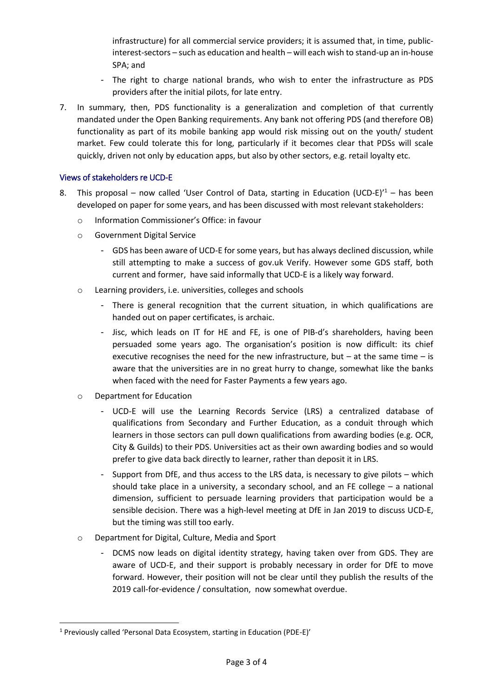infrastructure) for all commercial service providers; it is assumed that, in time, publicinterest-sectors – such as education and health – will each wish to stand-up an in-house SPA; and

- The right to charge national brands, who wish to enter the infrastructure as PDS providers after the initial pilots, for late entry.
- 7. In summary, then, PDS functionality is a generalization and completion of that currently mandated under the Open Banking requirements. Any bank not offering PDS (and therefore OB) functionality as part of its mobile banking app would risk missing out on the youth/ student market. Few could tolerate this for long, particularly if it becomes clear that PDSs will scale quickly, driven not only by education apps, but also by other sectors, e.g. retail loyalty etc.

### Views of stakeholders re UCD-E

- 8. This proposal now called 'User Control of Data, starting in Education (UCD-E)<sup> $1$ </sup> has been developed on paper for some years, and has been discussed with most relevant stakeholders:
	- o Information Commissioner's Office: in favour
	- o Government Digital Service
		- GDS has been aware of UCD-E for some years, but has always declined discussion, while still attempting to make a success of gov.uk Verify. However some GDS staff, both current and former, have said informally that UCD-E is a likely way forward.
	- o Learning providers, i.e. universities, colleges and schools
		- There is general recognition that the current situation, in which qualifications are handed out on paper certificates, is archaic.
		- Jisc, which leads on IT for HE and FE, is one of PIB-d's shareholders, having been persuaded some years ago. The organisation's position is now difficult: its chief executive recognises the need for the new infrastructure, but  $-$  at the same time  $-$  is aware that the universities are in no great hurry to change, somewhat like the banks when faced with the need for Faster Payments a few years ago.
	- o Department for Education

**.** 

- UCD-E will use the Learning Records Service (LRS) a centralized database of qualifications from Secondary and Further Education, as a conduit through which learners in those sectors can pull down qualifications from awarding bodies (e.g. OCR, City & Guilds) to their PDS. Universities act as their own awarding bodies and so would prefer to give data back directly to learner, rather than deposit it in LRS.
- Support from DfE, and thus access to the LRS data, is necessary to give pilots which should take place in a university, a secondary school, and an FE college – a national dimension, sufficient to persuade learning providers that participation would be a sensible decision. There was a high-level meeting at DfE in Jan 2019 to discuss UCD-E, but the timing was still too early.
- o Department for Digital, Culture, Media and Sport
	- DCMS now leads on digital identity strategy, having taken over from GDS. They are aware of UCD-E, and their support is probably necessary in order for DfE to move forward. However, their position will not be clear until they publish the results of the 2019 call-for-evidence / consultation, now somewhat overdue.

<sup>1</sup> Previously called 'Personal Data Ecosystem, starting in Education (PDE-E)'